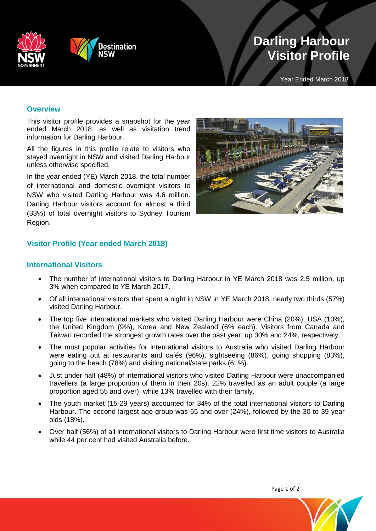



# **Darling Harbour Visitor Profile**

Year Ended March 2018

## **Overview**

This visitor profile provides a snapshot for the year ended March 2018, as well as visitation trend information for Darling Harbour.

All the figures in this profile relate to visitors who stayed overnight in NSW and visited Darling Harbour unless otherwise specified.

In the year ended (YE) March 2018, the total number of international and domestic overnight visitors to NSW who visited Darling Harbour was 4.6 million. Darling Harbour visitors account for almost a third (33%) of total overnight visitors to Sydney Tourism Region.



## **Visitor Profile (Year ended March 2018)**

#### **International Visitors**

- The number of international visitors to Darling Harbour in YE March 2018 was 2.5 million, up 3% when compared to YE March 2017.
- Of all international visitors that spent a night in NSW in YE March 2018, nearly two thirds (57%) visited Darling Harbour.
- The top five international markets who visited Darling Harbour were China (20%), USA (10%), the United Kingdom (9%), Korea and New Zealand (6% each). Visitors from Canada and Taiwan recorded the strongest growth rates over the past year, up 30% and 24%, respectively.
- The most popular activities for international visitors to Australia who visited Darling Harbour were eating out at restaurants and cafés (96%), sightseeing (86%), going shopping (83%), going to the beach (78%) and visiting national/state parks (61%).
- Just under half (48%) of international visitors who visited Darling Harbour were unaccompanied travellers (a large proportion of them in their 20s), 22% travelled as an adult couple (a large proportion aged 55 and over), while 13% travelled with their family.
- The youth market (15-29 years) accounted for 34% of the total international visitors to Darling Harbour. The second largest age group was 55 and over (24%), followed by the 30 to 39 year olds (18%).
- Over half (56%) of all international visitors to Darling Harbour were first time visitors to Australia while 44 per cent had visited Australia before.